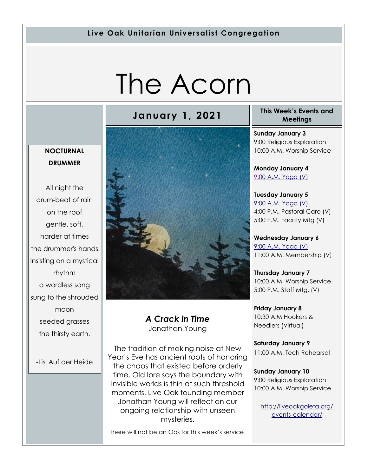#### **Live Oak Unitarian Universalist Congregation**

# The Acorn

# **January 1, 2021 This Week's Events and**

#### **NOCTURNAL DRUMMER**

All night the drum-beat of rain on the roof gentle, soft, harder at times the drummer's hands Insisting on a mystical rhythm a wordless song sung to the shrouded moon seeded grasses the thirsty earth.

-Lisl Auf der Heide



#### *A Crack in Time*  Jonathan Young

The tradition of making noise at New Year's Eve has ancient roots of honoring the chaos that existed before orderly time. Old lore says the boundary with invisible worlds is thin at such threshold moments. Live Oak founding member Jonathan Young will reflect on our ongoing relationship with unseen mysteries.

There will not be an Oos for this week's service.

**Meetings**

**Sunday January 3** 9:00 Religious Exploration 10:00 A.M. Worship Service

**Monday January 4** [9:](https://us02web.zoom.us/meeting/register/tZ0pc-6qrTwqH9WUfmrB_nZu0MWqJ8CyS3Uw)[00 A.M. Yoga \(V\)](https://us02web.zoom.us/j/86278199291?pwd=WUh1MFJyVXNVOTIyQ1NmanJoSmNXQT09)

**Tuesday January 5** [9:00 A.M. Yoga \(V\)](https://us02web.zoom.us/meeting/register/tZ0pc-6qrTwqH9WUfmrB_nZu0MWqJ8CyS3Uw) 4:00 P.M. Pastoral Care (V) 5:00 P.M. Facility Mtg (V)

**Wednesday January 6** [9:00 A.M. Yoga \(V\)](https://us02web.zoom.us/meeting/register/tZ0pc-6qrTwqH9WUfmrB_nZu0MWqJ8CyS3Uw) 11:00 A.M. Membership (V)

**Thursday January 7** 10:00 A.M. Worship Service 5:00 P.M. Staff Mtg. (V)

**Friday January 8** 10:30 A.M Hookers & Needlers (Virtual)

**Saturday January 9** 11:00 A.M. Tech Rehearsal

**Sunday January 10** 9:00 Religious Exploration 10:00 A.M. Worship Service

[http://liveoakgoleta.org/](http://liveoakgoleta.org/events-calendar/) [events-calendar/](http://liveoakgoleta.org/events-calendar/)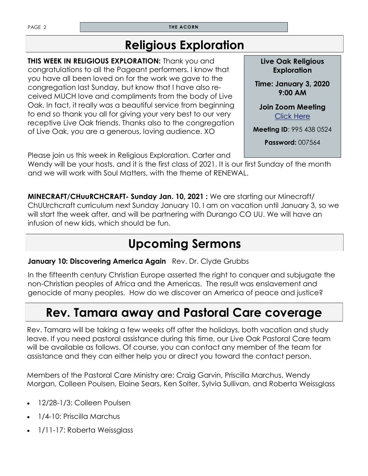PAGE 2 **THE ACORN** 

## **Religious Exploration**

**THIS WEEK IN RELIGIOUS EXPLORATION:** Thank you and congratulations to all the Pageant performers. I know that you have all been loved on for the work we gave to the congregation last Sunday, but know that I have also received MUCH love and compliments from the body of Live Oak. In fact, it really was a beautiful service from beginning to end so thank you all for giving your very best to our very receptive Live Oak friends. Thanks also to the congregation of Live Oak, you are a generous, loving audience. XO

Please join us this week in Religious Exploration. Carter and

Wendy will be your hosts, and it is the first class of 2021. It is our first Sunday of the month and we will work with Soul Matters, with the theme of RENEWAL.

**MINECRAFT/CHuuRCHCRAFT- Sunday Jan. 10, 2021 :** We are starting our Minecraft/ ChUUrchcraft curriculum next Sunday January 10. I am on vacation until January 3, so we will start the week after, and will be partnering with Durango CO UU. We will have an infusion of new kids, which should be fun.

# **Upcoming Sermons**

#### **January 10: Discovering America Again** Rev. Dr. Clyde Grubbs

In the fifteenth century Christian Europe asserted the right to conquer and subjugate the non-Christian peoples of Africa and the Americas. The result was enslavement and genocide of many peoples. How do we discover an America of peace and justice?

### **Rev. Tamara away and Pastoral Care coverage**

Rev. Tamara will be taking a few weeks off after the holidays, both vacation and study leave. If you need pastoral assistance during this time, our Live Oak Pastoral Care team will be available as follows. Of course, you can contact any member of the team for assistance and they can either help you or direct you toward the contact person.

Members of the Pastoral Care Ministry are: Craig Garvin, Priscilla Marchus, Wendy Morgan, Colleen Poulsen, Elaine Sears, Ken Solter, Sylvia Sullivan, and Roberta Weissglass

- 12/28-1/3: Colleen Poulsen
- 1/4-10: Priscilla Marchus
- 1/11-17: Roberta Weissglass

**Live Oak Religious Exploration** 

**Time: January 3, 2020 9:00 AM** 

**Join Zoom Meeting**  [Click Here](https://zoom.us/j/9954380524?pwd=UzZORVVKbnhBamtqT2craHE0Y255UT09)

**Meeting ID**: 995 438 0524

**Password:** 007564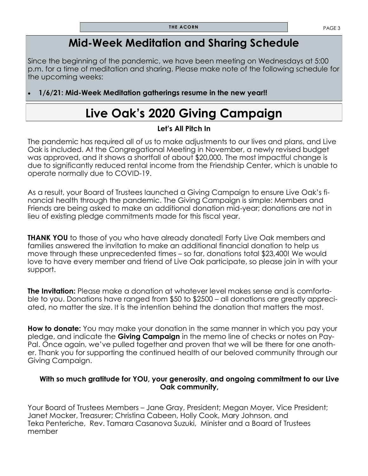### **Mid-Week Meditation and Sharing Schedule**

Since the beginning of the pandemic, we have been meeting on Wednesdays at 5:00 p.m. for a time of meditation and sharing. Please make note of the following schedule for the upcoming weeks:

#### • **1/6/21: Mid-Week Meditation gatherings resume in the new year!!**

# **Live Oak's 2020 Giving Campaign**

#### **Let's All Pitch In**

The pandemic has required all of us to make adjustments to our lives and plans, and Live Oak is included. At the Congregational Meeting in November, a newly revised budget was approved, and it shows a shortfall of about \$20,000. The most impactful change is due to significantly reduced rental income from the Friendship Center, which is unable to operate normally due to COVID-19.

As a result, your Board of Trustees launched a Giving Campaign to ensure Live Oak's financial health through the pandemic. The Giving Campaign is simple: Members and Friends are being asked to make an additional donation mid-year; donations are not in lieu of existing pledge commitments made for this fiscal year.

**THANK YOU** to those of you who have already donated! Forty Live Oak members and families answered the invitation to make an additional financial donation to help us move through these unprecedented times – so far, donations total \$23,400! We would love to have every member and friend of Live Oak participate, so please join in with your support.

**The Invitation:** Please make a donation at whatever level makes sense and is comfortable to you. Donations have ranged from \$50 to \$2500 – all donations are greatly appreciated, no matter the size. It is the intention behind the donation that matters the most.

**How to donate:** You may make your donation in the same manner in which you pay your pledge, and indicate the **Giving Campaign** in the memo line of checks or notes on Pay-Pal. Once again, we've pulled together and proven that we will be there for one another. Thank you for supporting the continued health of our beloved community through our Giving Campaign.

#### **With so much gratitude for YOU, your generosity, and ongoing commitment to our Live Oak community,**

Your Board of Trustees Members – Jane Gray, President; Megan Moyer, Vice President; Janet Mocker, Treasurer; Christina Cabeen, Holly Cook, Mary Johnson, and Teka Penteriche, Rev. Tamara Casanova Suzuki, Minister and a Board of Trustees member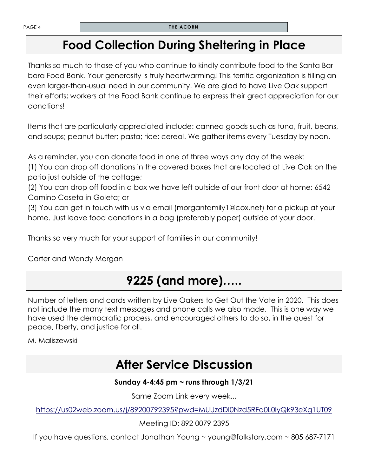### **Food Collection During Sheltering in Place**

Thanks so much to those of you who continue to kindly contribute food to the Santa Barbara Food Bank. Your generosity is truly heartwarming! This terrific organization is filling an even larger-than-usual need in our community. We are glad to have Live Oak support their efforts; workers at the Food Bank continue to express their great appreciation for our donations!

Items that are particularly appreciated include: canned goods such as tuna, fruit, beans, and soups; peanut butter; pasta; rice; cereal. We gather items every Tuesday by noon.

As a reminder, you can donate food in one of three ways any day of the week:

(1) You can drop off donations in the covered boxes that are located at Live Oak on the patio just outside of the cottage;

(2) You can drop off food in a box we have left outside of our front door at home: 6542 Camino Caseta in Goleta; or

(3) You can get in touch with us via email (morganfamily 1@cox.net) for a pickup at your home. Just leave food donations in a bag (preferably paper) outside of your door.

Thanks so very much for your support of families in our community!

Carter and Wendy Morgan

# **9225 (and more)…..**

Number of letters and cards written by Live Oakers to Get Out the Vote in 2020. This does not include the many text messages and phone calls we also made. This is one way we have used the democratic process, and encouraged others to do so, in the quest for peace, liberty, and justice for all.

M. Maliszewski

### **After Service Discussion**

#### **Sunday 4-4:45 pm ~ runs through 1/3/21**

Same Zoom Link every week...

<https://us02web.zoom.us/j/89200792395?pwd=MUUzdDI0Nzd5RFd0L0lyQk93eXg1UT09>

Meeting ID: 892 0079 2395

If you have questions, contact Jonathan Young ~ young@folkstory.com ~ 805 687-7171